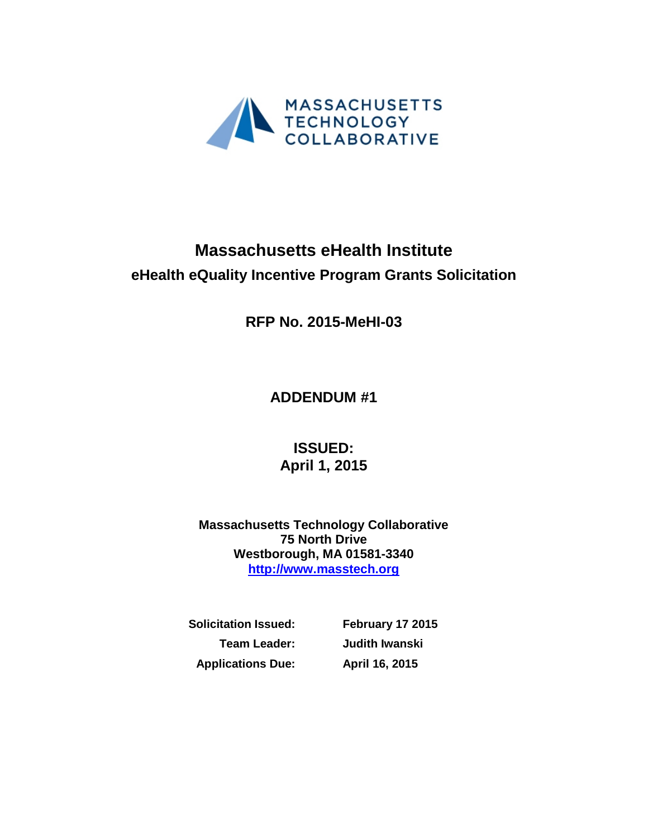

# **Massachusetts eHealth Institute eHealth eQuality Incentive Program Grants Solicitation**

**RFP No. 2015-MeHI-03**

**ADDENDUM #1**

**ISSUED: April 1, 2015**

**Massachusetts Technology Collaborative 75 North Drive Westborough, MA 01581-3340 [http://www.masstech.org](http://www.masstech.org/)**

**Solicitation Issued: February 17 2015 Applications Due: April 16, 2015**

**Team Leader: Judith Iwanski**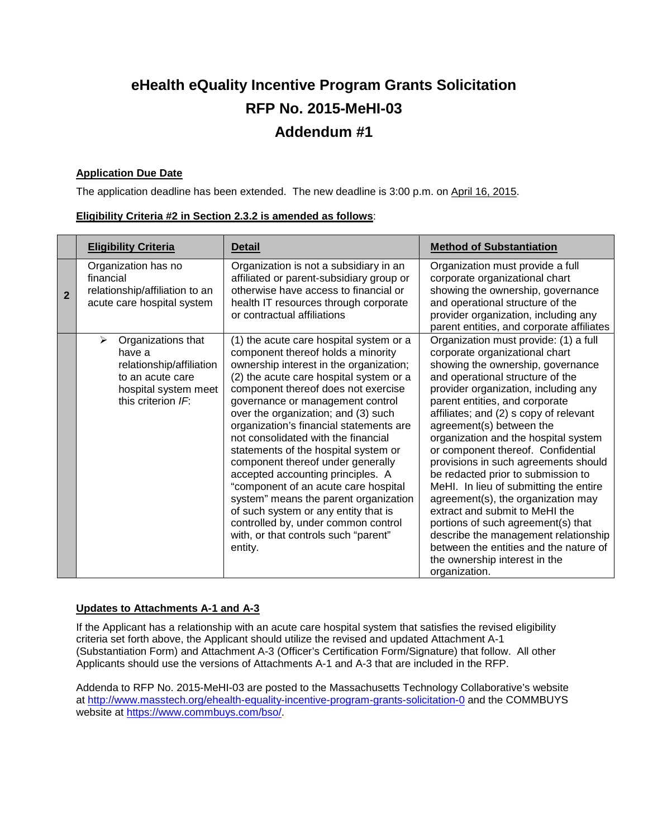## **eHealth eQuality Incentive Program Grants Solicitation RFP No. 2015-MeHI-03 Addendum #1**

#### **Application Due Date**

The application deadline has been extended. The new deadline is 3:00 p.m. on April 16, 2015.

| Eligibility Criteria #2 in Section 2.3.2 is amended as follows: |  |
|-----------------------------------------------------------------|--|
|-----------------------------------------------------------------|--|

|                | <b>Eligibility Criteria</b>                                                                                                     | <b>Detail</b>                                                                                                                                                                                                                                                                                                                                                                                                                                                                                                                                                                                                                                                                                                | <b>Method of Substantiation</b>                                                                                                                                                                                                                                                                                                                                                                                                                                                                                                                                                                                                                                                                                                                          |
|----------------|---------------------------------------------------------------------------------------------------------------------------------|--------------------------------------------------------------------------------------------------------------------------------------------------------------------------------------------------------------------------------------------------------------------------------------------------------------------------------------------------------------------------------------------------------------------------------------------------------------------------------------------------------------------------------------------------------------------------------------------------------------------------------------------------------------------------------------------------------------|----------------------------------------------------------------------------------------------------------------------------------------------------------------------------------------------------------------------------------------------------------------------------------------------------------------------------------------------------------------------------------------------------------------------------------------------------------------------------------------------------------------------------------------------------------------------------------------------------------------------------------------------------------------------------------------------------------------------------------------------------------|
| $\overline{2}$ | Organization has no<br>financial<br>relationship/affiliation to an<br>acute care hospital system                                | Organization is not a subsidiary in an<br>affiliated or parent-subsidiary group or<br>otherwise have access to financial or<br>health IT resources through corporate<br>or contractual affiliations                                                                                                                                                                                                                                                                                                                                                                                                                                                                                                          | Organization must provide a full<br>corporate organizational chart<br>showing the ownership, governance<br>and operational structure of the<br>provider organization, including any<br>parent entities, and corporate affiliates                                                                                                                                                                                                                                                                                                                                                                                                                                                                                                                         |
|                | Organizations that<br>➤<br>have a<br>relationship/affiliation<br>to an acute care<br>hospital system meet<br>this criterion IF: | (1) the acute care hospital system or a<br>component thereof holds a minority<br>ownership interest in the organization;<br>(2) the acute care hospital system or a<br>component thereof does not exercise<br>governance or management control<br>over the organization; and (3) such<br>organization's financial statements are<br>not consolidated with the financial<br>statements of the hospital system or<br>component thereof under generally<br>accepted accounting principles. A<br>"component of an acute care hospital<br>system" means the parent organization<br>of such system or any entity that is<br>controlled by, under common control<br>with, or that controls such "parent"<br>entity. | Organization must provide: (1) a full<br>corporate organizational chart<br>showing the ownership, governance<br>and operational structure of the<br>provider organization, including any<br>parent entities, and corporate<br>affiliates; and (2) s copy of relevant<br>agreement(s) between the<br>organization and the hospital system<br>or component thereof. Confidential<br>provisions in such agreements should<br>be redacted prior to submission to<br>MeHI. In lieu of submitting the entire<br>agreement(s), the organization may<br>extract and submit to MeHI the<br>portions of such agreement(s) that<br>describe the management relationship<br>between the entities and the nature of<br>the ownership interest in the<br>organization. |

#### **Updates to Attachments A-1 and A-3**

If the Applicant has a relationship with an acute care hospital system that satisfies the revised eligibility criteria set forth above, the Applicant should utilize the revised and updated Attachment A-1 (Substantiation Form) and Attachment A-3 (Officer's Certification Form/Signature) that follow. All other Applicants should use the versions of Attachments A-1 and A-3 that are included in the RFP.

Addenda to RFP No. 2015-MeHI-03 are posted to the Massachusetts Technology Collaborative's website at<http://www.masstech.org/ehealth-equality-incentive-program-grants-solicitation-0> and the COMMBUYS website at [https://www.commbuys.com/bso/.](https://www.commbuys.com/bso/)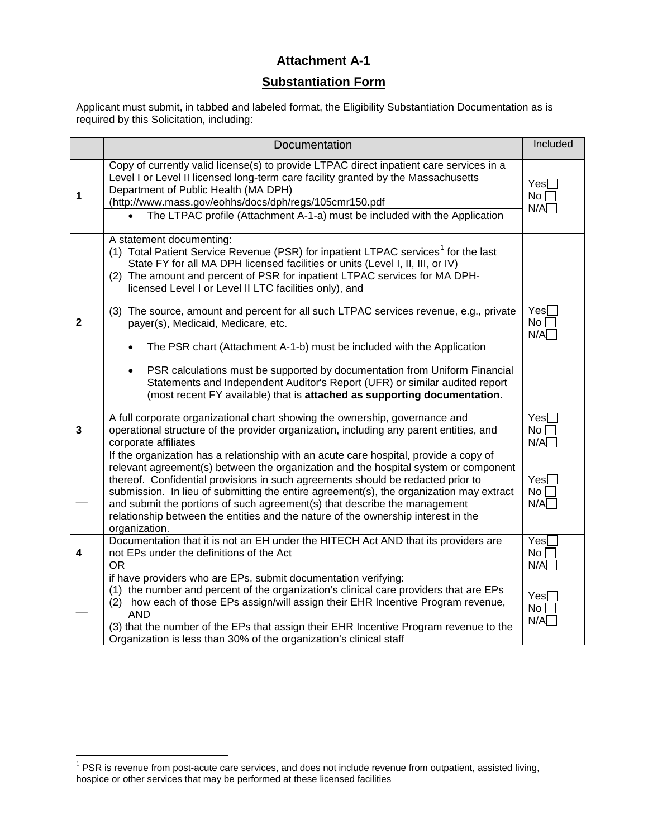#### **Attachment A-1**

#### **Substantiation Form**

Applicant must submit, in tabbed and labeled format, the Eligibility Substantiation Documentation as is required by this Solicitation, including:

|              | Documentation                                                                                                                                                                                                                                                                                                                                                                                                                                                                                                                                                                                                                                                                                                                                                                                                       | Included                                   |
|--------------|---------------------------------------------------------------------------------------------------------------------------------------------------------------------------------------------------------------------------------------------------------------------------------------------------------------------------------------------------------------------------------------------------------------------------------------------------------------------------------------------------------------------------------------------------------------------------------------------------------------------------------------------------------------------------------------------------------------------------------------------------------------------------------------------------------------------|--------------------------------------------|
| 1            | Copy of currently valid license(s) to provide LTPAC direct inpatient care services in a<br>Level I or Level II licensed long-term care facility granted by the Massachusetts<br>Department of Public Health (MA DPH)<br>(http://www.mass.gov/eohhs/docs/dph/regs/105cmr150.pdf<br>The LTPAC profile (Attachment A-1-a) must be included with the Application                                                                                                                                                                                                                                                                                                                                                                                                                                                        |                                            |
| $\mathbf{2}$ | A statement documenting:<br>(1) Total Patient Service Revenue (PSR) for inpatient LTPAC services <sup>1</sup> for the last<br>State FY for all MA DPH licensed facilities or units (Level I, II, III, or IV)<br>(2) The amount and percent of PSR for inpatient LTPAC services for MA DPH-<br>licensed Level I or Level II LTC facilities only), and<br>(3) The source, amount and percent for all such LTPAC services revenue, e.g., private<br>payer(s), Medicaid, Medicare, etc.<br>The PSR chart (Attachment A-1-b) must be included with the Application<br>PSR calculations must be supported by documentation from Uniform Financial<br>$\bullet$<br>Statements and Independent Auditor's Report (UFR) or similar audited report<br>(most recent FY available) that is attached as supporting documentation. | $Yes \Box$<br>No<br>N/A                    |
| $\mathbf{3}$ | A full corporate organizational chart showing the ownership, governance and<br>operational structure of the provider organization, including any parent entities, and<br>corporate affiliates                                                                                                                                                                                                                                                                                                                                                                                                                                                                                                                                                                                                                       | Yes <sub>1</sub><br>No <sub>1</sub><br>N/A |
|              | If the organization has a relationship with an acute care hospital, provide a copy of<br>relevant agreement(s) between the organization and the hospital system or component<br>thereof. Confidential provisions in such agreements should be redacted prior to<br>submission. In lieu of submitting the entire agreement(s), the organization may extract<br>and submit the portions of such agreement(s) that describe the management<br>relationship between the entities and the nature of the ownership interest in the<br>organization.                                                                                                                                                                                                                                                                       | Yes<br>No <sub>1</sub><br>N/A              |
| 4            | Documentation that it is not an EH under the HITECH Act AND that its providers are<br>not EPs under the definitions of the Act<br><b>OR</b>                                                                                                                                                                                                                                                                                                                                                                                                                                                                                                                                                                                                                                                                         | Yes[<br>No <sub>1</sub><br>N/A             |
|              | if have providers who are EPs, submit documentation verifying:<br>(1) the number and percent of the organization's clinical care providers that are EPs<br>(2) how each of those EPs assign/will assign their EHR Incentive Program revenue,<br><b>AND</b><br>(3) that the number of the EPs that assign their EHR Incentive Program revenue to the<br>Organization is less than 30% of the organization's clinical staff                                                                                                                                                                                                                                                                                                                                                                                           | Yes<br>$No \ \Box$<br>N/A                  |

<span id="page-2-0"></span> $1$  PSR is revenue from post-acute care services, and does not include revenue from outpatient, assisted living, hospice or other services that may be performed at these licensed facilities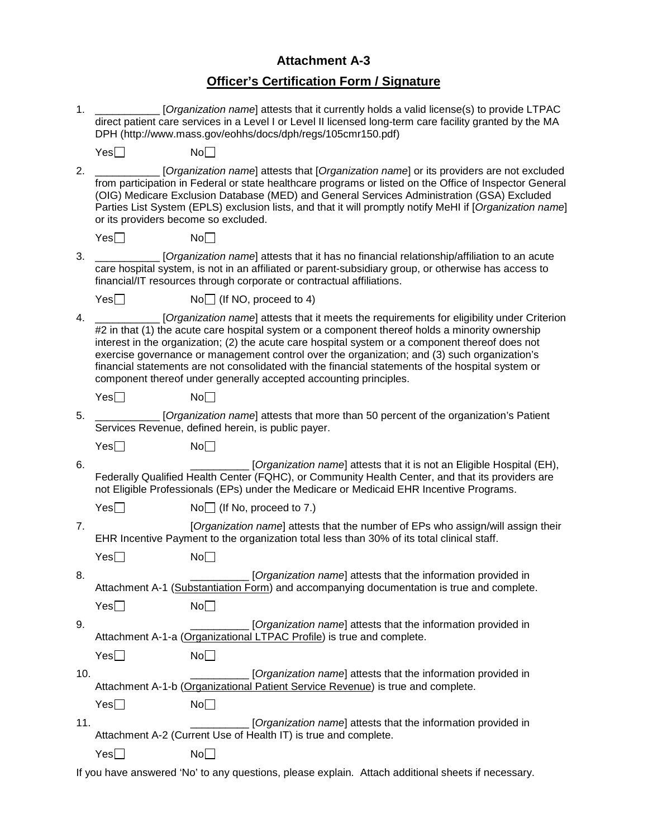## **Attachment A-3**

## **Officer's Certification Form / Signature**

| 1.  | [Organization name] attests that it currently holds a valid license(s) to provide LTPAC<br>direct patient care services in a Level I or Level II licensed long-term care facility granted by the MA<br>DPH (http://www.mass.gov/eohhs/docs/dph/regs/105cmr150.pdf)                                                                                                                                                                                                                                                                                                          |                                                                                                                                                                                                                                                                            |  |  |
|-----|-----------------------------------------------------------------------------------------------------------------------------------------------------------------------------------------------------------------------------------------------------------------------------------------------------------------------------------------------------------------------------------------------------------------------------------------------------------------------------------------------------------------------------------------------------------------------------|----------------------------------------------------------------------------------------------------------------------------------------------------------------------------------------------------------------------------------------------------------------------------|--|--|
|     | Yes                                                                                                                                                                                                                                                                                                                                                                                                                                                                                                                                                                         | No                                                                                                                                                                                                                                                                         |  |  |
| 2.  | [Organization name] attests that [Organization name] or its providers are not excluded<br>from participation in Federal or state healthcare programs or listed on the Office of Inspector General<br>(OIG) Medicare Exclusion Database (MED) and General Services Administration (GSA) Excluded<br>Parties List System (EPLS) exclusion lists, and that it will promptly notify MeHI if [Organization name]<br>or its providers become so excluded.                                                                                                                         |                                                                                                                                                                                                                                                                            |  |  |
|     | Yes                                                                                                                                                                                                                                                                                                                                                                                                                                                                                                                                                                         | No                                                                                                                                                                                                                                                                         |  |  |
| 3.  |                                                                                                                                                                                                                                                                                                                                                                                                                                                                                                                                                                             | [Organization name] attests that it has no financial relationship/affiliation to an acute<br>care hospital system, is not in an affiliated or parent-subsidiary group, or otherwise has access to<br>financial/IT resources through corporate or contractual affiliations. |  |  |
|     | Yes                                                                                                                                                                                                                                                                                                                                                                                                                                                                                                                                                                         | $No$ (If NO, proceed to 4)                                                                                                                                                                                                                                                 |  |  |
| 4.  | [Organization name] attests that it meets the requirements for eligibility under Criterion<br>#2 in that (1) the acute care hospital system or a component thereof holds a minority ownership<br>interest in the organization; (2) the acute care hospital system or a component thereof does not<br>exercise governance or management control over the organization; and (3) such organization's<br>financial statements are not consolidated with the financial statements of the hospital system or<br>component thereof under generally accepted accounting principles. |                                                                                                                                                                                                                                                                            |  |  |
|     | Yes                                                                                                                                                                                                                                                                                                                                                                                                                                                                                                                                                                         | No                                                                                                                                                                                                                                                                         |  |  |
| 5.  |                                                                                                                                                                                                                                                                                                                                                                                                                                                                                                                                                                             | [Organization name] attests that more than 50 percent of the organization's Patient<br>Services Revenue, defined herein, is public payer.                                                                                                                                  |  |  |
|     | Yes                                                                                                                                                                                                                                                                                                                                                                                                                                                                                                                                                                         | No                                                                                                                                                                                                                                                                         |  |  |
| 6.  | [Organization name] attests that it is not an Eligible Hospital (EH),<br>Federally Qualified Health Center (FQHC), or Community Health Center, and that its providers are<br>not Eligible Professionals (EPs) under the Medicare or Medicaid EHR Incentive Programs.                                                                                                                                                                                                                                                                                                        |                                                                                                                                                                                                                                                                            |  |  |
|     | Yes                                                                                                                                                                                                                                                                                                                                                                                                                                                                                                                                                                         | $No$ (If No, proceed to 7.)                                                                                                                                                                                                                                                |  |  |
| 7.  |                                                                                                                                                                                                                                                                                                                                                                                                                                                                                                                                                                             | [Organization name] attests that the number of EPs who assign/will assign their<br>EHR Incentive Payment to the organization total less than 30% of its total clinical staff.                                                                                              |  |  |
|     | Yes                                                                                                                                                                                                                                                                                                                                                                                                                                                                                                                                                                         | No                                                                                                                                                                                                                                                                         |  |  |
| 8.  |                                                                                                                                                                                                                                                                                                                                                                                                                                                                                                                                                                             | [Organization name] attests that the information provided in<br>Attachment A-1 (Substantiation Form) and accompanying documentation is true and complete.                                                                                                                  |  |  |
|     | Yes                                                                                                                                                                                                                                                                                                                                                                                                                                                                                                                                                                         | No                                                                                                                                                                                                                                                                         |  |  |
| 9.  |                                                                                                                                                                                                                                                                                                                                                                                                                                                                                                                                                                             | [Organization name] attests that the information provided in<br>Attachment A-1-a (Organizational LTPAC Profile) is true and complete.                                                                                                                                      |  |  |
|     | Yes                                                                                                                                                                                                                                                                                                                                                                                                                                                                                                                                                                         | No                                                                                                                                                                                                                                                                         |  |  |
| 10. |                                                                                                                                                                                                                                                                                                                                                                                                                                                                                                                                                                             | [Organization name] attests that the information provided in<br>Attachment A-1-b (Organizational Patient Service Revenue) is true and complete.                                                                                                                            |  |  |
|     | Yes                                                                                                                                                                                                                                                                                                                                                                                                                                                                                                                                                                         | No                                                                                                                                                                                                                                                                         |  |  |
| 11. |                                                                                                                                                                                                                                                                                                                                                                                                                                                                                                                                                                             | [Organization name] attests that the information provided in<br>Attachment A-2 (Current Use of Health IT) is true and complete.                                                                                                                                            |  |  |
|     | Yes                                                                                                                                                                                                                                                                                                                                                                                                                                                                                                                                                                         | No                                                                                                                                                                                                                                                                         |  |  |

If you have answered 'No' to any questions, please explain. Attach additional sheets if necessary.